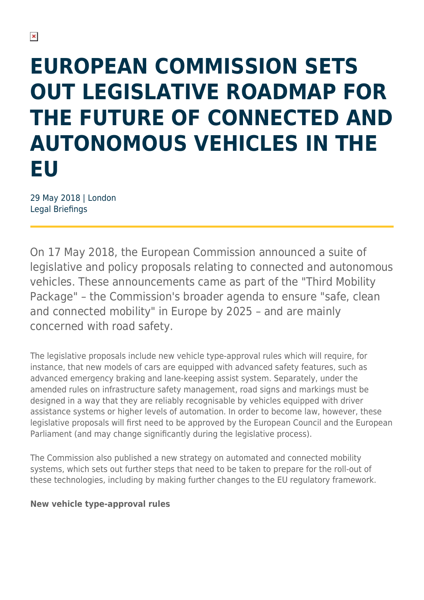# **EUROPEAN COMMISSION SETS OUT LEGISLATIVE ROADMAP FOR THE FUTURE OF CONNECTED AND AUTONOMOUS VEHICLES IN THE EU**

29 May 2018 | London Legal Briefings

On 17 May 2018, the European Commission announced a suite of legislative and policy proposals relating to connected and autonomous vehicles. These announcements came as part of the "Third Mobility Package" – the Commission's broader agenda to ensure "safe, clean and connected mobility" in Europe by 2025 – and are mainly concerned with road safety.

The legislative proposals include new vehicle type-approval rules which will require, for instance, that new models of cars are equipped with advanced safety features, such as advanced emergency braking and lane-keeping assist system. Separately, under the amended rules on infrastructure safety management, road signs and markings must be designed in a way that they are reliably recognisable by vehicles equipped with driver assistance systems or higher levels of automation. In order to become law, however, these legislative proposals will first need to be approved by the European Council and the European Parliament (and may change significantly during the legislative process).

The Commission also published a new strategy on automated and connected mobility systems, which sets out further steps that need to be taken to prepare for the roll-out of these technologies, including by making further changes to the EU regulatory framework.

#### **New vehicle type-approval rules**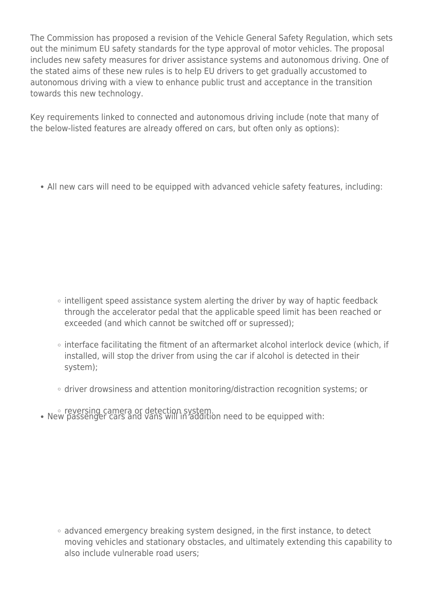The Commission has proposed a revision of the Vehicle General Safety Regulation, which sets out the minimum EU safety standards for the type approval of motor vehicles. The proposal includes new safety measures for driver assistance systems and autonomous driving. One of the stated aims of these new rules is to help EU drivers to get gradually accustomed to autonomous driving with a view to enhance public trust and acceptance in the transition towards this new technology.

Key requirements linked to connected and autonomous driving include (note that many of the below-listed features are already offered on cars, but often only as options):

All new cars will need to be equipped with advanced vehicle safety features, including:

- $\circ$  intelligent speed assistance system alerting the driver by way of haptic feedback through the accelerator pedal that the applicable speed limit has been reached or exceeded (and which cannot be switched off or supressed);
- o interface facilitating the fitment of an aftermarket alcohol interlock device (which, if installed, will stop the driver from using the car if alcohol is detected in their system);
- driver drowsiness and attention monitoring/distraction recognition systems; or
- reversing camera or detection system. New passenger cars and vans will in addition need to be equipped with:

• advanced emergency breaking system designed, in the first instance, to detect moving vehicles and stationary obstacles, and ultimately extending this capability to also include vulnerable road users;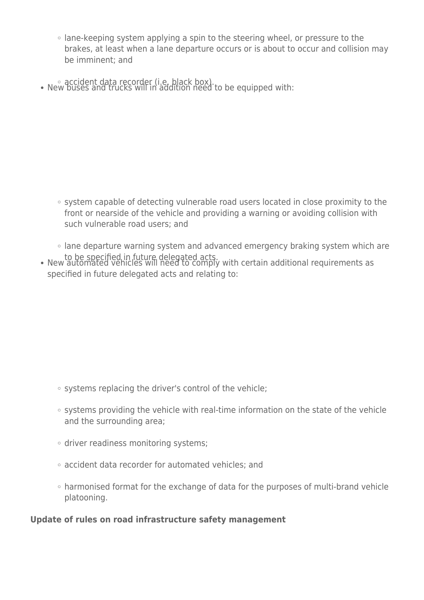- lane-keeping system applying a spin to the steering wheel, or pressure to the brakes, at least when a lane departure occurs or is about to occur and collision may be imminent; and
- accident data recorder (i.e. black box).<br>• New buses and trucks will in addition need to be equipped with:

- system capable of detecting vulnerable road users located in close proximity to the front or nearside of the vehicle and providing a warning or avoiding collision with such vulnerable road users; and
- lane departure warning system and advanced emergency braking system which are
- to be specified in future delegated acts. New automated vehicles will need to comply with certain additional requirements as specified in future delegated acts and relating to:

- systems replacing the driver's control of the vehicle;
- $\circ$  systems providing the vehicle with real-time information on the state of the vehicle and the surrounding area;
- driver readiness monitoring systems;
- accident data recorder for automated vehicles; and
- harmonised format for the exchange of data for the purposes of multi-brand vehicle platooning.

#### **Update of rules on road infrastructure safety management**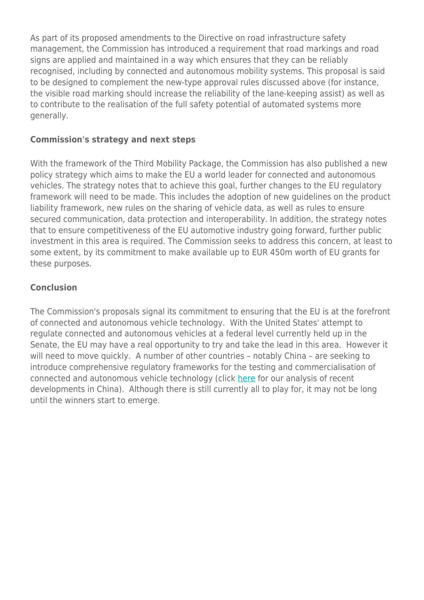As part of its proposed amendments to the Directive on road infrastructure safety management, the Commission has introduced a requirement that road markings and road signs are applied and maintained in a way which ensures that they can be reliably recognised, including by connected and autonomous mobility systems. This proposal is said to be designed to complement the new-type approval rules discussed above (for instance, the visible road marking should increase the reliability of the lane-keeping assist) as well as to contribute to the realisation of the full safety potential of automated systems more generally.

#### **Commission's strategy and next steps**

With the framework of the Third Mobility Package, the Commission has also published a new policy strategy which aims to make the EU a world leader for connected and autonomous vehicles. The strategy notes that to achieve this goal, further changes to the EU regulatory framework will need to be made. This includes the adoption of new guidelines on the product liability framework, new rules on the sharing of vehicle data, as well as rules to ensure secured communication, data protection and interoperability. In addition, the strategy notes that to ensure competitiveness of the EU automotive industry going forward, further public investment in this area is required. The Commission seeks to address this concern, at least to some extent, by its commitment to make available up to EUR 450m worth of EU grants for these purposes.

#### **Conclusion**

The Commission's proposals signal its commitment to ensuring that the EU is at the forefront of connected and autonomous vehicle technology. With the United States' attempt to regulate connected and autonomous vehicles at a federal level currently held up in the Senate, the EU may have a real opportunity to try and take the lead in this area. However it will need to move quickly. A number of other countries – notably China – are seeking to introduce comprehensive regulatory frameworks for the testing and commercialisation of connected and autonomous vehicle technology (click [here](https://sites-herbertsmithfreehills.vuturevx.com/104/16981/may-2018/connected-and-autonomous-vehicles--a-guide-to-road-testing-rules-in-china.asp?sid=e2e8cc55-62d2-4936-9838-9e50ae167149) for our analysis of recent developments in China). Although there is still currently all to play for, it may not be long until the winners start to emerge.